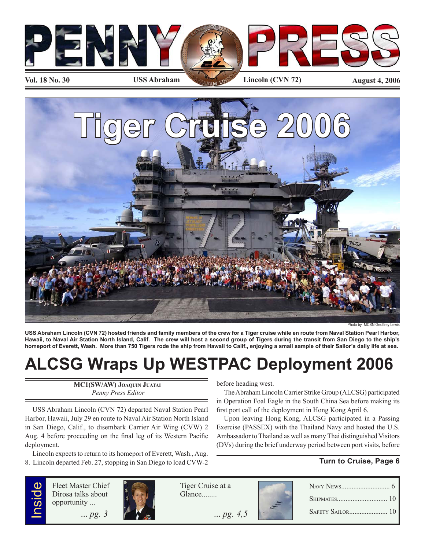



Photo by MCSN Geoffrey

**USS Abraham Lincoln (CVN 72) hosted friends and family members of the crew for a Tiger cruise while en route from Naval Station Pearl Harbor, Hawaii, to Naval Air Station North Island, Calif. The crew will host a second group of Tigers during the transit from San Diego to the ship's homeport of Everett, Wash. More than 750 Tigers rode the ship from Hawaii to Calif., enjoying a small sample of their Sailor's daily life at sea.**

# **ALCSG Wraps Up WESTPAC Deployment 2006**

**MC1(SW/AW) JOAQUIN JUATAI**  *Penny Press Editor*

USS Abraham Lincoln (CVN 72) departed Naval Station Pearl Harbor, Hawaii, July 29 en route to Naval Air Station North Island in San Diego, Calif., to disembark Carrier Air Wing (CVW) 2 Aug. 4 before proceeding on the final leg of its Western Pacific deployment.

Lincoln expects to return to its homeport of Everett, Wash., Aug. 8. Lincoln departed Feb. 27, stopping in San Diego to load CVW-2 before heading west.

The Abraham Lincoln Carrier Strike Group (ALCSG) participated in Operation Foal Eagle in the South China Sea before making its first port call of the deployment in Hong Kong April 6.

Upon leaving Hong Kong, ALCSG participated in a Passing Exercise (PASSEX) with the Thailand Navy and hosted the U.S. Ambassador to Thailand as well as many Thai distinguished Visitors (DVs) during the brief underway period between port visits, before

### **Turn to Cruise, Page 6**



Fleet Master Chief Dirosa talks about opportunity ...



Tiger Cruise at a Glance........